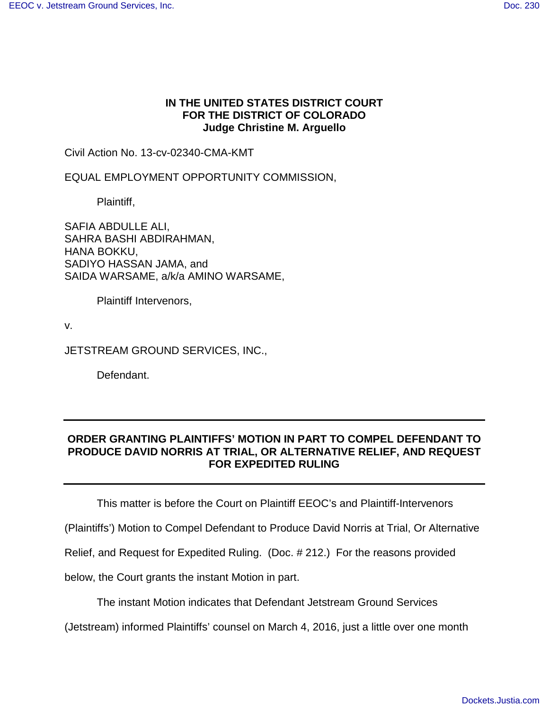## **IN THE UNITED STATES DISTRICT COURT FOR THE DISTRICT OF COLORADO Judge Christine M. Arguello**

Civil Action No. 13-cv-02340-CMA-KMT

EQUAL EMPLOYMENT OPPORTUNITY COMMISSION,

Plaintiff,

SAFIA ABDULLE ALI, SAHRA BASHI ABDIRAHMAN, HANA BOKKU, SADIYO HASSAN JAMA, and SAIDA WARSAME, a/k/a AMINO WARSAME,

Plaintiff Intervenors,

v.

JETSTREAM GROUND SERVICES, INC.,

Defendant.

## **ORDER GRANTING PLAINTIFFS' MOTION IN PART TO COMPEL DEFENDANT TO PRODUCE DAVID NORRIS AT TRIAL, OR ALTERNATIVE RELIEF, AND REQUEST FOR EXPEDITED RULING**

This matter is before the Court on Plaintiff EEOC's and Plaintiff-Intervenors

(Plaintiffs') Motion to Compel Defendant to Produce David Norris at Trial, Or Alternative

Relief, and Request for Expedited Ruling. (Doc. # 212.) For the reasons provided

below, the Court grants the instant Motion in part.

The instant Motion indicates that Defendant Jetstream Ground Services

(Jetstream) informed Plaintiffs' counsel on March 4, 2016, just a little over one month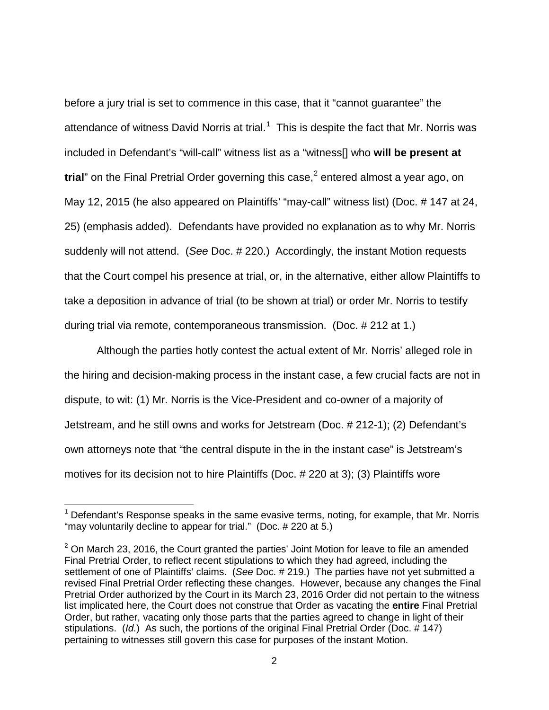before a jury trial is set to commence in this case, that it "cannot guarantee" the attendance of witness David Norris at trial.<sup>[1](#page-1-0)</sup> This is despite the fact that Mr. Norris was included in Defendant's "will-call" witness list as a "witness[] who **will be present at trial**" on the Final Pretrial Order governing this case, [2](#page-1-1) entered almost a year ago, on May 12, 2015 (he also appeared on Plaintiffs' "may-call" witness list) (Doc. # 147 at 24, 25) (emphasis added). Defendants have provided no explanation as to why Mr. Norris suddenly will not attend. (See Doc. # 220.) Accordingly, the instant Motion requests that the Court compel his presence at trial, or, in the alternative, either allow Plaintiffs to take a deposition in advance of trial (to be shown at trial) or order Mr. Norris to testify during trial via remote, contemporaneous transmission. (Doc. # 212 at 1.)

Although the parties hotly contest the actual extent of Mr. Norris' alleged role in the hiring and decision-making process in the instant case, a few crucial facts are not in dispute, to wit: (1) Mr. Norris is the Vice-President and co-owner of a majority of Jetstream, and he still owns and works for Jetstream (Doc. # 212-1); (2) Defendant's own attorneys note that "the central dispute in the in the instant case" is Jetstream's motives for its decision not to hire Plaintiffs (Doc. # 220 at 3); (3) Plaintiffs wore

<span id="page-1-0"></span> $1$  Defendant's Response speaks in the same evasive terms, noting, for example, that Mr. Norris "may voluntarily decline to appear for trial." (Doc. # 220 at 5.)

<span id="page-1-1"></span> $2$  On March 23, 2016, the Court granted the parties' Joint Motion for leave to file an amended Final Pretrial Order, to reflect recent stipulations to which they had agreed, including the settlement of one of Plaintiffs' claims. (See Doc. # 219.) The parties have not yet submitted a revised Final Pretrial Order reflecting these changes. However, because any changes the Final Pretrial Order authorized by the Court in its March 23, 2016 Order did not pertain to the witness list implicated here, the Court does not construe that Order as vacating the **entire** Final Pretrial Order, but rather, vacating only those parts that the parties agreed to change in light of their stipulations. (Id.) As such, the portions of the original Final Pretrial Order (Doc. # 147) pertaining to witnesses still govern this case for purposes of the instant Motion.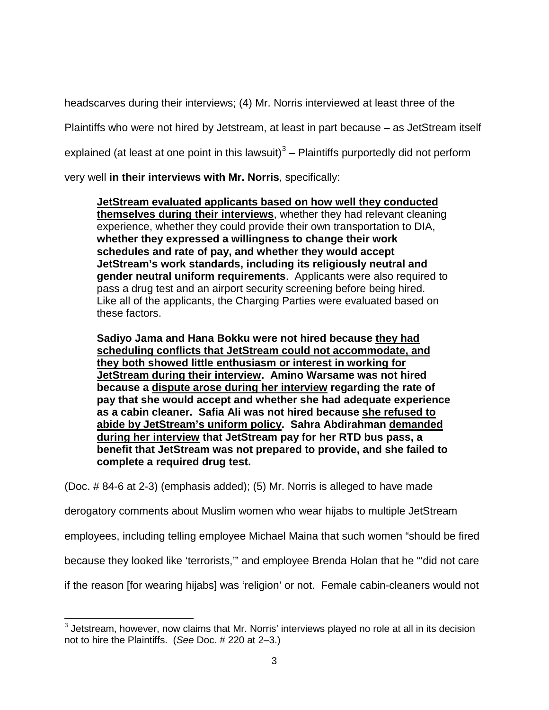headscarves during their interviews; (4) Mr. Norris interviewed at least three of the

Plaintiffs who were not hired by Jetstream, at least in part because – as JetStream itself

explained (at least at one point in this lawsuit)<sup>[3](#page-2-0)</sup> – Plaintiffs purportedly did not perform

very well **in their interviews with Mr. Norris**, specifically:

**JetStream evaluated applicants based on how well they conducted themselves during their interviews**, whether they had relevant cleaning experience, whether they could provide their own transportation to DIA, **whether they expressed a willingness to change their work schedules and rate of pay, and whether they would accept JetStream's work standards, including its religiously neutral and gender neutral uniform requirements**. Applicants were also required to pass a drug test and an airport security screening before being hired. Like all of the applicants, the Charging Parties were evaluated based on these factors.

**Sadiyo Jama and Hana Bokku were not hired because they had scheduling conflicts that JetStream could not accommodate, and they both showed little enthusiasm or interest in working for JetStream during their interview. Amino Warsame was not hired because a dispute arose during her interview regarding the rate of pay that she would accept and whether she had adequate experience as a cabin cleaner. Safia Ali was not hired because she refused to abide by JetStream's uniform policy. Sahra Abdirahman demanded during her interview that JetStream pay for her RTD bus pass, a benefit that JetStream was not prepared to provide, and she failed to complete a required drug test.** 

(Doc. # 84-6 at 2-3) (emphasis added); (5) Mr. Norris is alleged to have made

derogatory comments about Muslim women who wear hijabs to multiple JetStream

employees, including telling employee Michael Maina that such women "should be fired

because they looked like 'terrorists,'" and employee Brenda Holan that he "'did not care

if the reason [for wearing hijabs] was 'religion' or not. Female cabin-cleaners would not

<span id="page-2-0"></span> $3$  Jetstream, however, now claims that Mr. Norris' interviews played no role at all in its decision not to hire the Plaintiffs. (See Doc. # 220 at 2–3.) -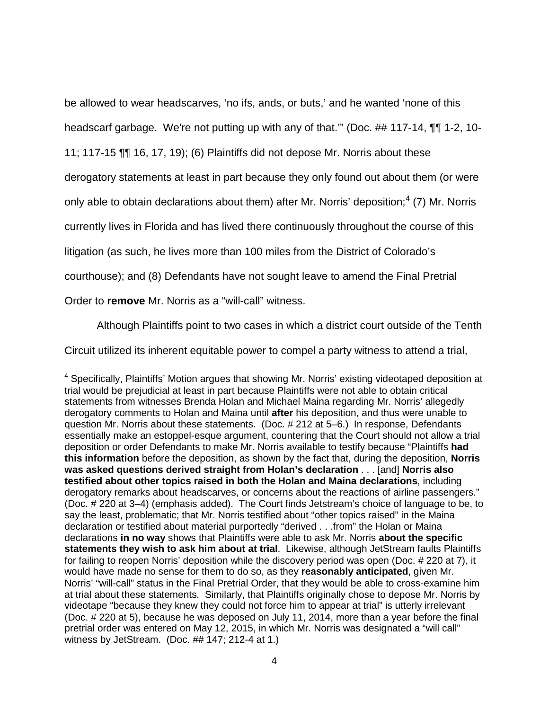be allowed to wear headscarves, 'no ifs, ands, or buts,' and he wanted 'none of this

headscarf garbage. We're not putting up with any of that."" (Doc. ## 117-14, ¶¶ 1-2, 10-

11; 117-15 ¶¶ 16, 17, 19); (6) Plaintiffs did not depose Mr. Norris about these

derogatory statements at least in part because they only found out about them (or were

only able to obtain declarations about them) after Mr. Norris' deposition;<sup>[4](#page-3-0)</sup> (7) Mr. Norris

currently lives in Florida and has lived there continuously throughout the course of this

litigation (as such, he lives more than 100 miles from the District of Colorado's

courthouse); and (8) Defendants have not sought leave to amend the Final Pretrial

Order to **remove** Mr. Norris as a "will-call" witness.

Although Plaintiffs point to two cases in which a district court outside of the Tenth

Circuit utilized its inherent equitable power to compel a party witness to attend a trial,

<span id="page-3-0"></span><sup>&</sup>lt;sup>4</sup> Specifically, Plaintiffs' Motion argues that showing Mr. Norris' existing videotaped deposition at trial would be prejudicial at least in part because Plaintiffs were not able to obtain critical statements from witnesses Brenda Holan and Michael Maina regarding Mr. Norris' allegedly derogatory comments to Holan and Maina until **after** his deposition, and thus were unable to question Mr. Norris about these statements. (Doc. # 212 at 5–6.) In response, Defendants essentially make an estoppel-esque argument, countering that the Court should not allow a trial deposition or order Defendants to make Mr. Norris available to testify because "Plaintiffs **had this information** before the deposition, as shown by the fact that, during the deposition, **Norris was asked questions derived straight from Holan's declaration** . . . [and] **Norris also testified about other topics raised in both** t**he Holan and Maina declarations**, including derogatory remarks about headscarves, or concerns about the reactions of airline passengers." (Doc. # 220 at 3–4) (emphasis added). The Court finds Jetstream's choice of language to be, to say the least, problematic; that Mr. Norris testified about "other topics raised" in the Maina declaration or testified about material purportedly "derived . . .from" the Holan or Maina declarations **in no way** shows that Plaintiffs were able to ask Mr. Norris **about the specific statements they wish to ask him about at trial**. Likewise, although JetStream faults Plaintiffs for failing to reopen Norris' deposition while the discovery period was open (Doc. # 220 at 7), it would have made no sense for them to do so, as they **reasonably anticipated**, given Mr. Norris' "will-call" status in the Final Pretrial Order, that they would be able to cross-examine him at trial about these statements. Similarly, that Plaintiffs originally chose to depose Mr. Norris by videotape "because they knew they could not force him to appear at trial" is utterly irrelevant (Doc. # 220 at 5), because he was deposed on July 11, 2014, more than a year before the final pretrial order was entered on May 12, 2015, in which Mr. Norris was designated a "will call" witness by JetStream. (Doc. ## 147; 212-4 at 1.)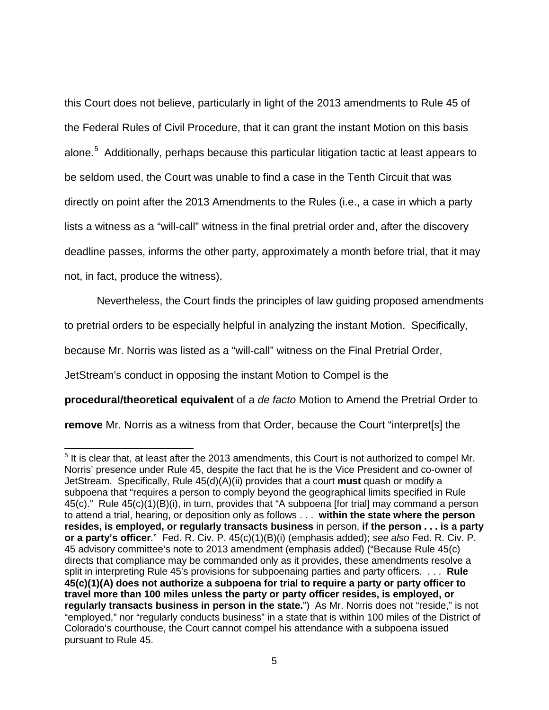this Court does not believe, particularly in light of the 2013 amendments to Rule 45 of the Federal Rules of Civil Procedure, that it can grant the instant Motion on this basis alone.<sup>[5](#page-4-0)</sup> Additionally, perhaps because this particular litigation tactic at least appears to be seldom used, the Court was unable to find a case in the Tenth Circuit that was directly on point after the 2013 Amendments to the Rules (i.e., a case in which a party lists a witness as a "will-call" witness in the final pretrial order and, after the discovery deadline passes, informs the other party, approximately a month before trial, that it may not, in fact, produce the witness).

Nevertheless, the Court finds the principles of law guiding proposed amendments

to pretrial orders to be especially helpful in analyzing the instant Motion. Specifically,

because Mr. Norris was listed as a "will-call" witness on the Final Pretrial Order,

JetStream's conduct in opposing the instant Motion to Compel is the

-

**procedural/theoretical equivalent** of a de facto Motion to Amend the Pretrial Order to

**remove** Mr. Norris as a witness from that Order, because the Court "interpret[s] the

<span id="page-4-0"></span> $<sup>5</sup>$  It is clear that, at least after the 2013 amendments, this Court is not authorized to compel Mr.</sup> Norris' presence under Rule 45, despite the fact that he is the Vice President and co-owner of JetStream. Specifically, Rule 45(d)(A)(ii) provides that a court **must** quash or modify a subpoena that "requires a person to comply beyond the geographical limits specified in Rule 45(c)." Rule 45(c)(1)(B)(i), in turn, provides that "A subpoena [for trial] may command a person to attend a trial, hearing, or deposition only as follows . . . **within the state where the person resides, is employed, or regularly transacts business** in person, **if the person . . . is a party or a party's officer**." Fed. R. Civ. P. 45(c)(1)(B)(i) (emphasis added); see also Fed. R. Civ. P. 45 advisory committee's note to 2013 amendment (emphasis added) ("Because Rule 45(c) directs that compliance may be commanded only as it provides, these amendments resolve a split in interpreting Rule 45's provisions for subpoenaing parties and party officers. . . . **Rule 45(c)(1)(A) does not authorize a subpoena for trial to require a party or party officer to travel more than 100 miles unless the party or party officer resides, is employed, or regularly transacts business in person in the state.**") As Mr. Norris does not "reside," is not "employed," nor "regularly conducts business" in a state that is within 100 miles of the District of Colorado's courthouse, the Court cannot compel his attendance with a subpoena issued pursuant to Rule 45.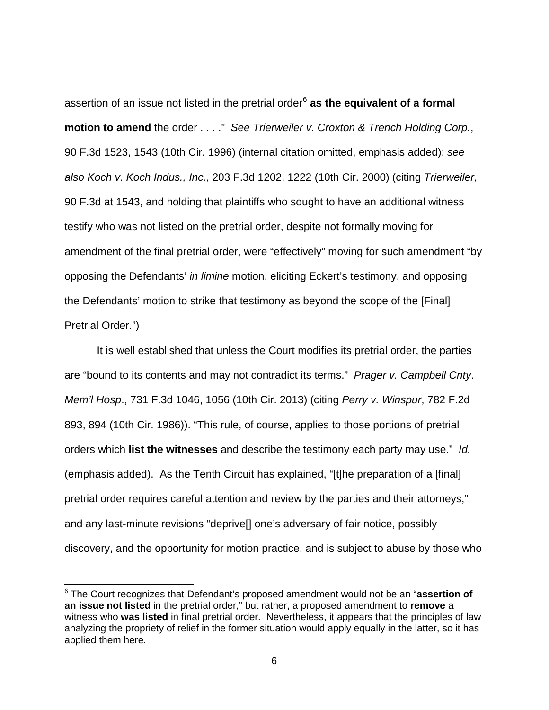assertion of an issue not listed in the pretrial order<sup>[6](#page-5-0)</sup> as the equivalent of a formal **motion to amend** the order . . . ." See Trierweiler v. Croxton & Trench Holding Corp., 90 F.3d 1523, 1543 (10th Cir. 1996) (internal citation omitted, emphasis added); see also Koch v. Koch Indus., Inc., 203 F.3d 1202, 1222 (10th Cir. 2000) (citing Trierweiler, 90 F.3d at 1543, and holding that plaintiffs who sought to have an additional witness testify who was not listed on the pretrial order, despite not formally moving for amendment of the final pretrial order, were "effectively" moving for such amendment "by opposing the Defendants' in limine motion, eliciting Eckert's testimony, and opposing the Defendants' motion to strike that testimony as beyond the scope of the [Final] Pretrial Order.")

It is well established that unless the Court modifies its pretrial order, the parties are "bound to its contents and may not contradict its terms." Prager v. Campbell Cnty. Mem'l Hosp., 731 F.3d 1046, 1056 (10th Cir. 2013) (citing Perry v. Winspur, 782 F.2d 893, 894 (10th Cir. 1986)). "This rule, of course, applies to those portions of pretrial orders which **list the witnesses** and describe the testimony each party may use." Id. (emphasis added). As the Tenth Circuit has explained, "[t]he preparation of a [final] pretrial order requires careful attention and review by the parties and their attorneys," and any last-minute revisions "deprive[] one's adversary of fair notice, possibly discovery, and the opportunity for motion practice, and is subject to abuse by those who

-

<span id="page-5-0"></span><sup>6</sup> The Court recognizes that Defendant's proposed amendment would not be an "**assertion of an issue not listed** in the pretrial order," but rather, a proposed amendment to **remove** a witness who **was listed** in final pretrial order. Nevertheless, it appears that the principles of law analyzing the propriety of relief in the former situation would apply equally in the latter, so it has applied them here.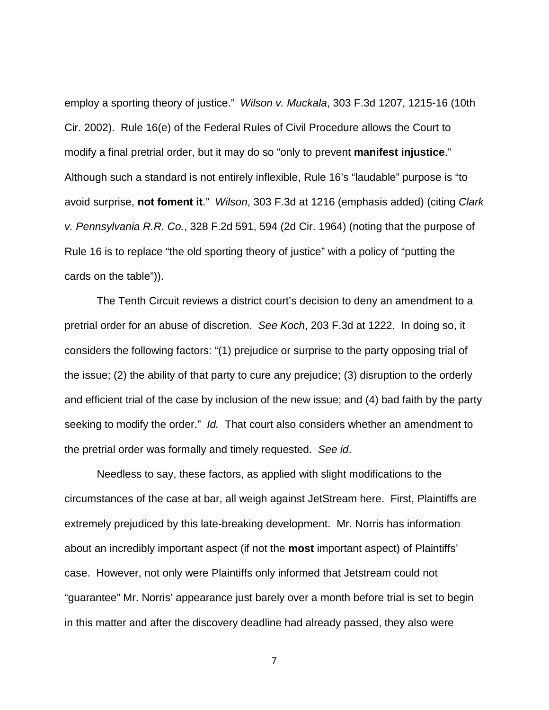employ a sporting theory of justice." Wilson v. Muckala, 303 F.3d 1207, 1215-16 (10th Cir. 2002). Rule 16(e) of the Federal Rules of Civil Procedure allows the Court to modify a final pretrial order, but it may do so "only to prevent **manifest injustice**." Although such a standard is not entirely inflexible, Rule 16's "laudable" purpose is "to avoid surprise, **not foment it**." Wilson, 303 F.3d at 1216 (emphasis added) (citing Clark v. Pennsylvania R.R. Co., 328 F.2d 591, 594 (2d Cir. 1964) (noting that the purpose of Rule 16 is to replace "the old sporting theory of justice" with a policy of "putting the cards on the table")).

The Tenth Circuit reviews a district court's decision to deny an amendment to a pretrial order for an abuse of discretion. See Koch, 203 F.3d at 1222. In doing so, it considers the following factors: "(1) prejudice or surprise to the party opposing trial of the issue; (2) the ability of that party to cure any prejudice; (3) disruption to the orderly and efficient trial of the case by inclusion of the new issue; and (4) bad faith by the party seeking to modify the order." Id. That court also considers whether an amendment to the pretrial order was formally and timely requested. See id.

Needless to say, these factors, as applied with slight modifications to the circumstances of the case at bar, all weigh against JetStream here. First, Plaintiffs are extremely prejudiced by this late-breaking development. Mr. Norris has information about an incredibly important aspect (if not the **most** important aspect) of Plaintiffs' case. However, not only were Plaintiffs only informed that Jetstream could not "guarantee" Mr. Norris' appearance just barely over a month before trial is set to begin in this matter and after the discovery deadline had already passed, they also were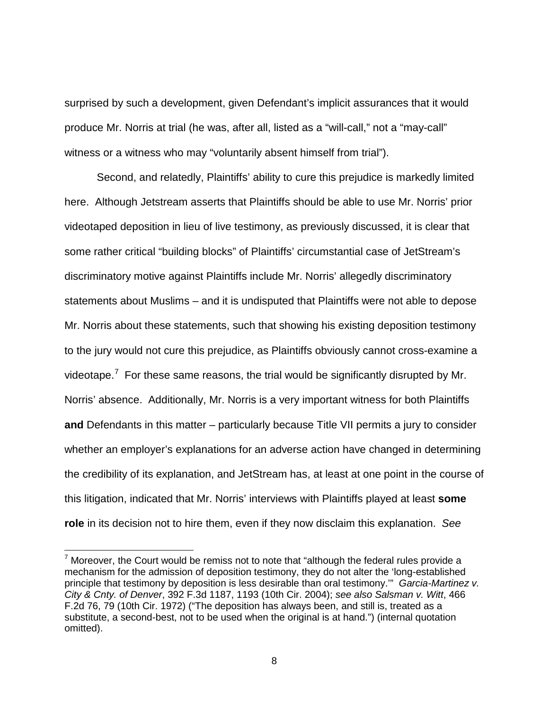surprised by such a development, given Defendant's implicit assurances that it would produce Mr. Norris at trial (he was, after all, listed as a "will-call," not a "may-call" witness or a witness who may "voluntarily absent himself from trial").

Second, and relatedly, Plaintiffs' ability to cure this prejudice is markedly limited here. Although Jetstream asserts that Plaintiffs should be able to use Mr. Norris' prior videotaped deposition in lieu of live testimony, as previously discussed, it is clear that some rather critical "building blocks" of Plaintiffs' circumstantial case of JetStream's discriminatory motive against Plaintiffs include Mr. Norris' allegedly discriminatory statements about Muslims – and it is undisputed that Plaintiffs were not able to depose Mr. Norris about these statements, such that showing his existing deposition testimony to the jury would not cure this prejudice, as Plaintiffs obviously cannot cross-examine a videotape.<sup>[7](#page-7-0)</sup> For these same reasons, the trial would be significantly disrupted by Mr. Norris' absence. Additionally, Mr. Norris is a very important witness for both Plaintiffs **and** Defendants in this matter – particularly because Title VII permits a jury to consider whether an employer's explanations for an adverse action have changed in determining the credibility of its explanation, and JetStream has, at least at one point in the course of this litigation, indicated that Mr. Norris' interviews with Plaintiffs played at least **some role** in its decision not to hire them, even if they now disclaim this explanation. See

-

<span id="page-7-0"></span> $7$  Moreover, the Court would be remiss not to note that "although the federal rules provide a mechanism for the admission of deposition testimony, they do not alter the 'long-established principle that testimony by deposition is less desirable than oral testimony." Garcia-Martinez v. City & Cnty. of Denver, 392 F.3d 1187, 1193 (10th Cir. 2004); see also Salsman v. Witt, 466 F.2d 76, 79 (10th Cir. 1972) ("The deposition has always been, and still is, treated as a substitute, a second-best, not to be used when the original is at hand.") (internal quotation omitted).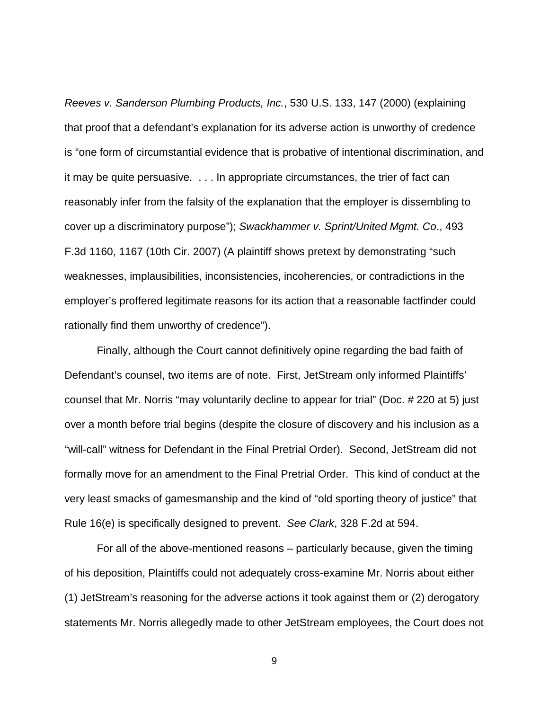Reeves v. Sanderson Plumbing Products, Inc., 530 U.S. 133, 147 (2000) (explaining that proof that a defendant's explanation for its adverse action is unworthy of credence is "one form of circumstantial evidence that is probative of intentional discrimination, and it may be quite persuasive. . . . In appropriate circumstances, the trier of fact can reasonably infer from the falsity of the explanation that the employer is dissembling to cover up a discriminatory purpose"); Swackhammer v. Sprint/United Mgmt. Co., 493 F.3d 1160, 1167 (10th Cir. 2007) (A plaintiff shows pretext by demonstrating "such weaknesses, implausibilities, inconsistencies, incoherencies, or contradictions in the employer's proffered legitimate reasons for its action that a reasonable factfinder could rationally find them unworthy of credence").

Finally, although the Court cannot definitively opine regarding the bad faith of Defendant's counsel, two items are of note. First, JetStream only informed Plaintiffs' counsel that Mr. Norris "may voluntarily decline to appear for trial" (Doc. # 220 at 5) just over a month before trial begins (despite the closure of discovery and his inclusion as a "will-call" witness for Defendant in the Final Pretrial Order). Second, JetStream did not formally move for an amendment to the Final Pretrial Order. This kind of conduct at the very least smacks of gamesmanship and the kind of "old sporting theory of justice" that Rule 16(e) is specifically designed to prevent. See Clark, 328 F.2d at 594.

For all of the above-mentioned reasons – particularly because, given the timing of his deposition, Plaintiffs could not adequately cross-examine Mr. Norris about either (1) JetStream's reasoning for the adverse actions it took against them or (2) derogatory statements Mr. Norris allegedly made to other JetStream employees, the Court does not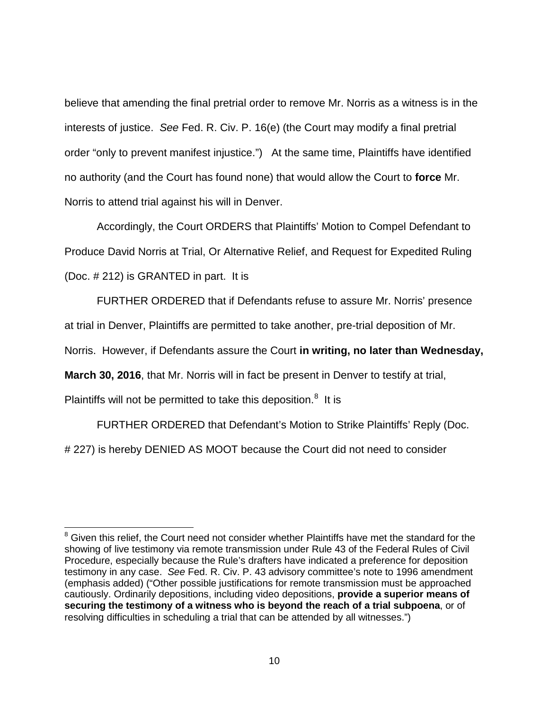believe that amending the final pretrial order to remove Mr. Norris as a witness is in the interests of justice. See Fed. R. Civ. P. 16(e) (the Court may modify a final pretrial order "only to prevent manifest injustice.") At the same time, Plaintiffs have identified no authority (and the Court has found none) that would allow the Court to **force** Mr. Norris to attend trial against his will in Denver.

Accordingly, the Court ORDERS that Plaintiffs' Motion to Compel Defendant to Produce David Norris at Trial, Or Alternative Relief, and Request for Expedited Ruling (Doc. # 212) is GRANTED in part. It is

FURTHER ORDERED that if Defendants refuse to assure Mr. Norris' presence

at trial in Denver, Plaintiffs are permitted to take another, pre-trial deposition of Mr.

Norris. However, if Defendants assure the Court **in writing, no later than Wednesday,** 

**March 30, 2016**, that Mr. Norris will in fact be present in Denver to testify at trial,

Plaintiffs will not be permitted to take this deposition.<sup>[8](#page-9-0)</sup> It is

-

FURTHER ORDERED that Defendant's Motion to Strike Plaintiffs' Reply (Doc.

# 227) is hereby DENIED AS MOOT because the Court did not need to consider

<span id="page-9-0"></span><sup>&</sup>lt;sup>8</sup> Given this relief, the Court need not consider whether Plaintiffs have met the standard for the showing of live testimony via remote transmission under Rule 43 of the Federal Rules of Civil Procedure, especially because the Rule's drafters have indicated a preference for deposition testimony in any case. See Fed. R. Civ. P. 43 advisory committee's note to 1996 amendment (emphasis added) ("Other possible justifications for remote transmission must be approached cautiously. Ordinarily depositions, including video depositions, **provide a superior means of securing the testimony of a witness who is beyond the reach of a trial subpoena**, or of resolving difficulties in scheduling a trial that can be attended by all witnesses.")